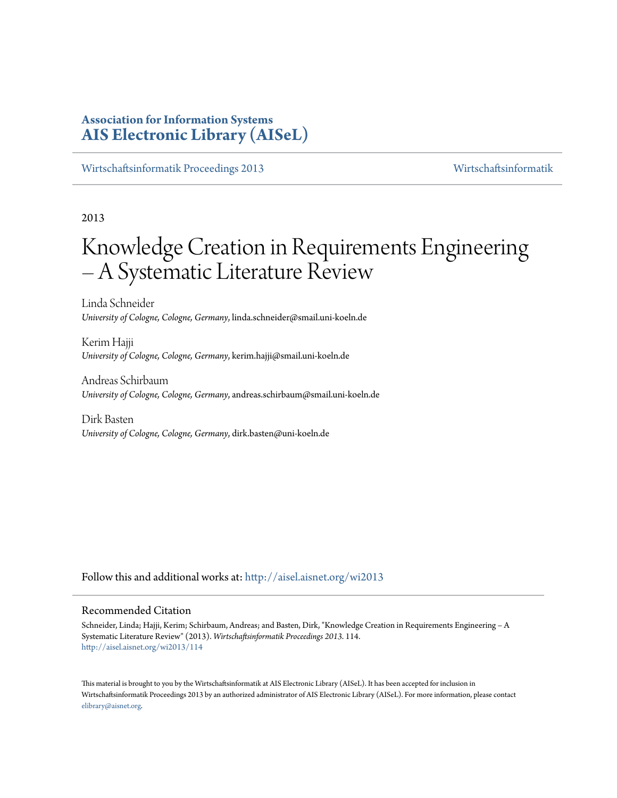# **Association for Information Systems [AIS Electronic Library \(AISeL\)](http://aisel.aisnet.org?utm_source=aisel.aisnet.org%2Fwi2013%2F114&utm_medium=PDF&utm_campaign=PDFCoverPages)**

[Wirtschaftsinformatik Proceedings 2013](http://aisel.aisnet.org/wi2013?utm_source=aisel.aisnet.org%2Fwi2013%2F114&utm_medium=PDF&utm_campaign=PDFCoverPages) [Wirtschaftsinformatik](http://aisel.aisnet.org/wi?utm_source=aisel.aisnet.org%2Fwi2013%2F114&utm_medium=PDF&utm_campaign=PDFCoverPages)

2013

# Knowledge Creation in Requirements Engineering – A Systematic Literature Review

Linda Schneider *University of Cologne, Cologne, Germany*, linda.schneider@smail.uni-koeln.de

Kerim Hajji *University of Cologne, Cologne, Germany*, kerim.hajji@smail.uni-koeln.de

Andreas Schirbaum *University of Cologne, Cologne, Germany*, andreas.schirbaum@smail.uni-koeln.de

Dirk Basten *University of Cologne, Cologne, Germany*, dirk.basten@uni-koeln.de

Follow this and additional works at: [http://aisel.aisnet.org/wi2013](http://aisel.aisnet.org/wi2013?utm_source=aisel.aisnet.org%2Fwi2013%2F114&utm_medium=PDF&utm_campaign=PDFCoverPages)

## Recommended Citation

Schneider, Linda; Hajji, Kerim; Schirbaum, Andreas; and Basten, Dirk, "Knowledge Creation in Requirements Engineering – A Systematic Literature Review" (2013). *Wirtschaftsinformatik Proceedings 2013*. 114. [http://aisel.aisnet.org/wi2013/114](http://aisel.aisnet.org/wi2013/114?utm_source=aisel.aisnet.org%2Fwi2013%2F114&utm_medium=PDF&utm_campaign=PDFCoverPages)

This material is brought to you by the Wirtschaftsinformatik at AIS Electronic Library (AISeL). It has been accepted for inclusion in Wirtschaftsinformatik Proceedings 2013 by an authorized administrator of AIS Electronic Library (AISeL). For more information, please contact [elibrary@aisnet.org.](mailto:elibrary@aisnet.org%3E)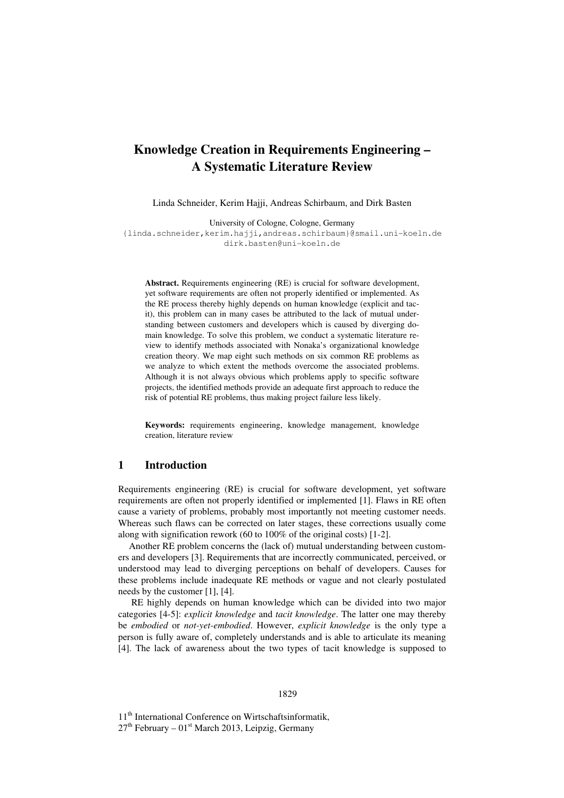# **Knowledge Creation in Requirements Engineering – A Systematic Literature Review**

Linda Schneider, Kerim Hajji, Andreas Schirbaum, and Dirk Basten

University of Cologne, Cologne, Germany {linda.schneider,kerim.hajji,andreas.schirbaum}@smail.uni-koeln.de dirk.basten@uni-koeln.de

**Abstract.** Requirements engineering (RE) is crucial for software development, yet software requirements are often not properly identified or implemented. As the RE process thereby highly depends on human knowledge (explicit and tacit), this problem can in many cases be attributed to the lack of mutual understanding between customers and developers which is caused by diverging domain knowledge. To solve this problem, we conduct a systematic literature review to identify methods associated with Nonaka's organizational knowledge creation theory. We map eight such methods on six common RE problems as we analyze to which extent the methods overcome the associated problems. Although it is not always obvious which problems apply to specific software projects, the identified methods provide an adequate first approach to reduce the risk of potential RE problems, thus making project failure less likely.

**Keywords:** requirements engineering, knowledge management, knowledge creation, literature review

## **1 Introduction**

Requirements engineering (RE) is crucial for software development, yet software requirements are often not properly identified or implemented [1]. Flaws in RE often cause a variety of problems, probably most importantly not meeting customer needs. Whereas such flaws can be corrected on later stages, these corrections usually come along with signification rework (60 to 100% of the original costs) [1-2].

Another RE problem concerns the (lack of) mutual understanding between customers and developers [3]. Requirements that are incorrectly communicated, perceived, or understood may lead to diverging perceptions on behalf of developers. Causes for these problems include inadequate RE methods or vague and not clearly postulated needs by the customer [1], [4].

 RE highly depends on human knowledge which can be divided into two major categories [4-5]: *explicit knowledge* and *tacit knowledge*. The latter one may thereby be *embodied* or *not-yet-embodied*. However, *explicit knowledge* is the only type a person is fully aware of, completely understands and is able to articulate its meaning [4]. The lack of awareness about the two types of tacit knowledge is supposed to

#### 1829

11<sup>th</sup> International Conference on Wirtschaftsinformatik,  $27<sup>th</sup>$  February –  $01<sup>st</sup>$  March 2013, Leipzig, Germany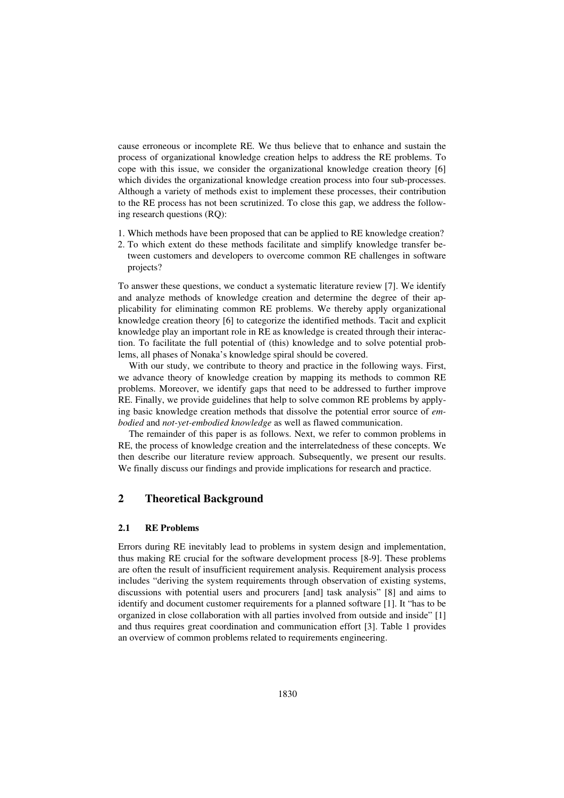cause erroneous or incomplete RE. We thus believe that to enhance and sustain the process of organizational knowledge creation helps to address the RE problems. To cope with this issue, we consider the organizational knowledge creation theory [6] which divides the organizational knowledge creation process into four sub-processes. Although a variety of methods exist to implement these processes, their contribution to the RE process has not been scrutinized. To close this gap, we address the following research questions (RQ):

- 1. Which methods have been proposed that can be applied to RE knowledge creation?
- 2. To which extent do these methods facilitate and simplify knowledge transfer between customers and developers to overcome common RE challenges in software projects?

To answer these questions, we conduct a systematic literature review [7]. We identify and analyze methods of knowledge creation and determine the degree of their applicability for eliminating common RE problems. We thereby apply organizational knowledge creation theory [6] to categorize the identified methods. Tacit and explicit knowledge play an important role in RE as knowledge is created through their interaction. To facilitate the full potential of (this) knowledge and to solve potential problems, all phases of Nonaka's knowledge spiral should be covered.

With our study, we contribute to theory and practice in the following ways. First, we advance theory of knowledge creation by mapping its methods to common RE problems. Moreover, we identify gaps that need to be addressed to further improve RE. Finally, we provide guidelines that help to solve common RE problems by applying basic knowledge creation methods that dissolve the potential error source of *embodied* and *not-yet-embodied knowledge* as well as flawed communication.

The remainder of this paper is as follows. Next, we refer to common problems in RE, the process of knowledge creation and the interrelatedness of these concepts. We then describe our literature review approach. Subsequently, we present our results. We finally discuss our findings and provide implications for research and practice.

## **2 Theoretical Background**

## **2.1 RE Problems**

Errors during RE inevitably lead to problems in system design and implementation, thus making RE crucial for the software development process [8-9]. These problems are often the result of insufficient requirement analysis. Requirement analysis process includes "deriving the system requirements through observation of existing systems, discussions with potential users and procurers [and] task analysis" [8] and aims to identify and document customer requirements for a planned software [1]. It "has to be organized in close collaboration with all parties involved from outside and inside" [1] and thus requires great coordination and communication effort [3]. Table 1 provides an overview of common problems related to requirements engineering.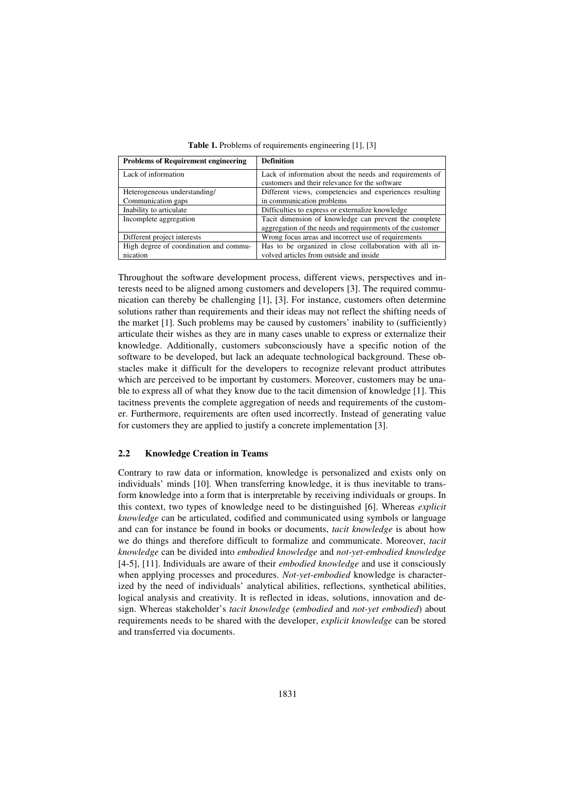| <b>Problems of Requirement engineering</b> | <b>Definition</b>                                         |
|--------------------------------------------|-----------------------------------------------------------|
| Lack of information                        | Lack of information about the needs and requirements of   |
|                                            | customers and their relevance for the software            |
| Heterogeneous understanding/               | Different views, competencies and experiences resulting   |
| Communication gaps                         | in communication problems                                 |
| Inability to articulate                    | Difficulties to express or externalize knowledge          |
| Incomplete aggregation                     | Tacit dimension of knowledge can prevent the complete     |
|                                            | aggregation of the needs and requirements of the customer |
| Different project interests                | Wrong focus areas and incorrect use of requirements       |
| High degree of coordination and commu-     | Has to be organized in close collaboration with all in-   |
| nication                                   | volved articles from outside and inside                   |

**Table 1.** Problems of requirements engineering [1], [3]

Throughout the software development process, different views, perspectives and interests need to be aligned among customers and developers [3]. The required communication can thereby be challenging [1], [3]. For instance, customers often determine solutions rather than requirements and their ideas may not reflect the shifting needs of the market [1]. Such problems may be caused by customers' inability to (sufficiently) articulate their wishes as they are in many cases unable to express or externalize their knowledge. Additionally, customers subconsciously have a specific notion of the software to be developed, but lack an adequate technological background. These obstacles make it difficult for the developers to recognize relevant product attributes which are perceived to be important by customers. Moreover, customers may be unable to express all of what they know due to the tacit dimension of knowledge [1]. This tacitness prevents the complete aggregation of needs and requirements of the customer. Furthermore, requirements are often used incorrectly. Instead of generating value for customers they are applied to justify a concrete implementation [3].

### **2.2 Knowledge Creation in Teams**

Contrary to raw data or information, knowledge is personalized and exists only on individuals' minds [10]. When transferring knowledge, it is thus inevitable to transform knowledge into a form that is interpretable by receiving individuals or groups. In this context, two types of knowledge need to be distinguished [6]. Whereas *explicit knowledge* can be articulated, codified and communicated using symbols or language and can for instance be found in books or documents, *tacit knowledge* is about how we do things and therefore difficult to formalize and communicate. Moreover, *tacit knowledge* can be divided into *embodied knowledge* and *not-yet-embodied knowledge*  [4-5], [11]. Individuals are aware of their *embodied knowledge* and use it consciously when applying processes and procedures. *Not-yet-embodied* knowledge is characterized by the need of individuals' analytical abilities, reflections, synthetical abilities, logical analysis and creativity. It is reflected in ideas, solutions, innovation and design. Whereas stakeholder's *tacit knowledge* (*embodied* and *not-yet embodied*) about requirements needs to be shared with the developer, *explicit knowledge* can be stored and transferred via documents.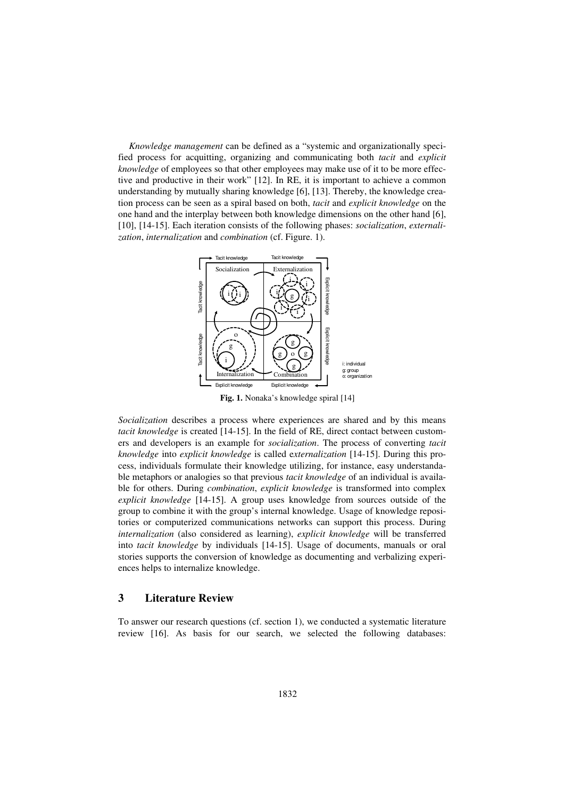*Knowledge management* can be defined as a "systemic and organizationally specified process for acquitting, organizing and communicating both *tacit* and *explicit knowledge* of employees so that other employees may make use of it to be more effective and productive in their work" [12]. In RE, it is important to achieve a common understanding by mutually sharing knowledge [6], [13]. Thereby, the knowledge creation process can be seen as a spiral based on both, *tacit* and *explicit knowledge* on the one hand and the interplay between both knowledge dimensions on the other hand [6], [10], [14-15]. Each iteration consists of the following phases: *socialization*, *externalization*, *internalization* and *combination* (cf. Figure. 1).



**Fig. 1.** Nonaka's knowledge spiral [14]

*Socialization* describes a process where experiences are shared and by this means *tacit knowledge* is created [14-15]. In the field of RE, direct contact between customers and developers is an example for *socialization*. The process of converting *tacit knowledge* into *explicit knowledge* is called e*xternalization* [14-15]. During this process, individuals formulate their knowledge utilizing, for instance, easy understandable metaphors or analogies so that previous *tacit knowledge* of an individual is available for others. During *combination*, *explicit knowledge* is transformed into complex *explicit knowledge* [14-15]. A group uses knowledge from sources outside of the group to combine it with the group's internal knowledge. Usage of knowledge repositories or computerized communications networks can support this process. During *internalization* (also considered as learning), *explicit knowledge* will be transferred into *tacit knowledge* by individuals [14-15]. Usage of documents, manuals or oral stories supports the conversion of knowledge as documenting and verbalizing experiences helps to internalize knowledge.

## **3 Literature Review**

To answer our research questions (cf. section 1), we conducted a systematic literature review [16]. As basis for our search, we selected the following databases: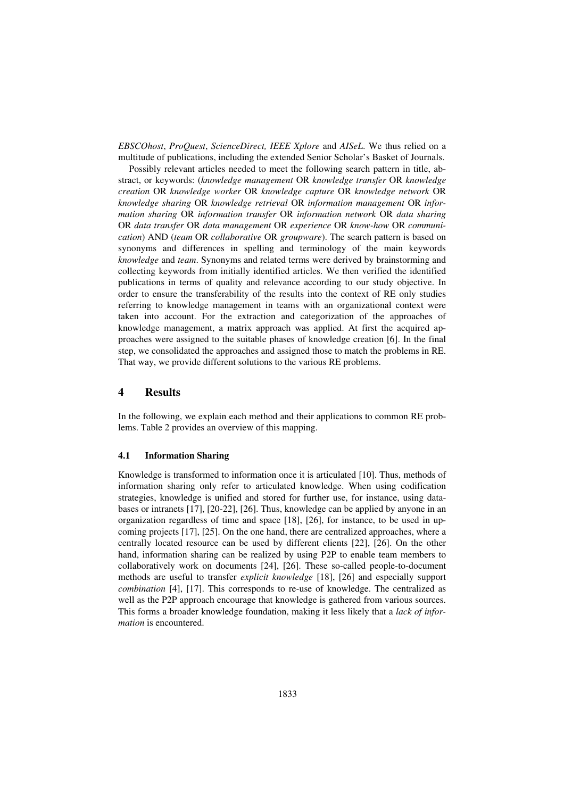*EBSCOhost*, *ProQuest*, *ScienceDirect, IEEE Xplore* and *AISeL*. We thus relied on a multitude of publications, including the extended Senior Scholar's Basket of Journals.

Possibly relevant articles needed to meet the following search pattern in title, abstract, or keywords: (*knowledge management* OR *knowledge transfer* OR *knowledge creation* OR *knowledge worker* OR *knowledge capture* OR *knowledge network* OR *knowledge sharing* OR *knowledge retrieval* OR *information management* OR *information sharing* OR *information transfer* OR *information network* OR *data sharing* OR *data transfer* OR *data management* OR *experience* OR *know-how* OR *communication*) AND (*team* OR *collaborative* OR *groupware*). The search pattern is based on synonyms and differences in spelling and terminology of the main keywords *knowledge* and *team*. Synonyms and related terms were derived by brainstorming and collecting keywords from initially identified articles. We then verified the identified publications in terms of quality and relevance according to our study objective. In order to ensure the transferability of the results into the context of RE only studies referring to knowledge management in teams with an organizational context were taken into account. For the extraction and categorization of the approaches of knowledge management, a matrix approach was applied. At first the acquired approaches were assigned to the suitable phases of knowledge creation [6]. In the final step, we consolidated the approaches and assigned those to match the problems in RE. That way, we provide different solutions to the various RE problems.

## **4 Results**

In the following, we explain each method and their applications to common RE problems. Table 2 provides an overview of this mapping.

## **4.1 Information Sharing**

Knowledge is transformed to information once it is articulated [10]. Thus, methods of information sharing only refer to articulated knowledge. When using codification strategies, knowledge is unified and stored for further use, for instance, using databases or intranets [17], [20-22], [26]. Thus, knowledge can be applied by anyone in an organization regardless of time and space [18], [26], for instance, to be used in upcoming projects [17], [25]. On the one hand, there are centralized approaches, where a centrally located resource can be used by different clients [22], [26]. On the other hand, information sharing can be realized by using P2P to enable team members to collaboratively work on documents [24], [26]. These so-called people-to-document methods are useful to transfer *explicit knowledge* [18], [26] and especially support *combination* [4], [17]. This corresponds to re-use of knowledge. The centralized as well as the P2P approach encourage that knowledge is gathered from various sources. This forms a broader knowledge foundation, making it less likely that a *lack of information* is encountered.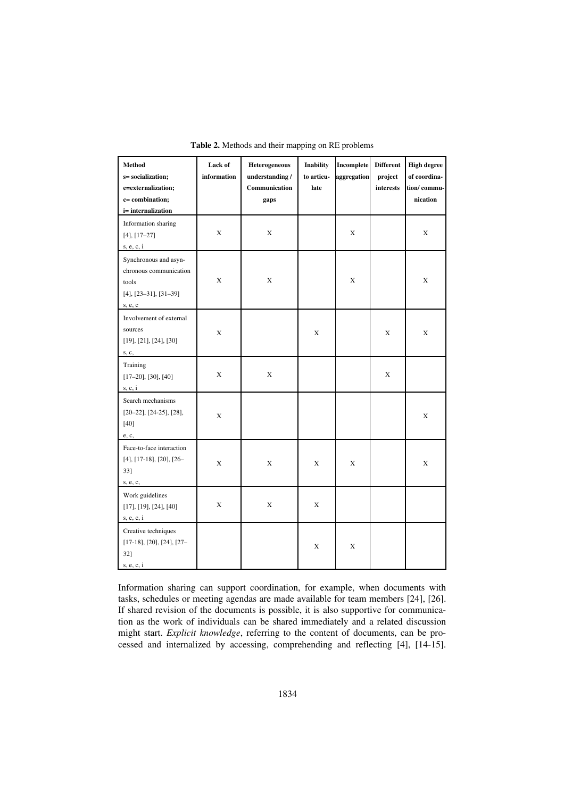| Method<br>s= socialization;<br>e=externalization;<br>c= combination;<br>i= internalization           | Lack of<br>information | <b>Heterogeneous</b><br>understanding /<br>Communication<br>gaps | <b>Inability</b><br>to articu-<br>late | Incomplete<br>aggregation | <b>Different</b><br>project<br>interests | <b>High degree</b><br>of coordina-<br>tion/commu-<br>nication |
|------------------------------------------------------------------------------------------------------|------------------------|------------------------------------------------------------------|----------------------------------------|---------------------------|------------------------------------------|---------------------------------------------------------------|
| Information sharing<br>$[4], [17-27]$<br>s, e, c, i                                                  | X                      | X                                                                |                                        | X                         |                                          | X                                                             |
| Synchronous and asyn-<br>chronous communication<br>tools<br>$[4]$ , $[23-31]$ , $[31-39]$<br>s, e, c | X                      | X                                                                |                                        | X                         |                                          | X                                                             |
| Involvement of external<br>sources<br>[19], [21], [24], [30]<br>s, c,                                | X                      |                                                                  | X                                      |                           | X                                        | X                                                             |
| Training<br>$[17-20]$ , $[30]$ , $[40]$<br>s, c, i                                                   | X                      | X                                                                |                                        |                           | X                                        |                                                               |
| Search mechanisms<br>$[20-22]$ , $[24-25]$ , $[28]$ ,<br>$[40]$<br>e, c,                             | X                      |                                                                  |                                        |                           |                                          | X                                                             |
| Face-to-face interaction<br>$[4]$ , $[17-18]$ , $[20]$ , $[26-$<br>33]<br>s, e, c,                   | X                      | X                                                                | X                                      | X                         |                                          | X                                                             |
| Work guidelines<br>[17], [19], [24], [40]<br>s, e, c, i                                              | X                      | X                                                                | X                                      |                           |                                          |                                                               |
| Creative techniques<br>$[17-18]$ , $[20]$ , $[24]$ , $[27-$<br>32]<br>s, e, c, i                     |                        |                                                                  | X                                      | X                         |                                          |                                                               |

**Table 2.** Methods and their mapping on RE problems

Information sharing can support coordination, for example, when documents with tasks, schedules or meeting agendas are made available for team members [24], [26]. If shared revision of the documents is possible, it is also supportive for communication as the work of individuals can be shared immediately and a related discussion might start. *Explicit knowledge*, referring to the content of documents, can be processed and internalized by accessing, comprehending and reflecting [4], [14-15].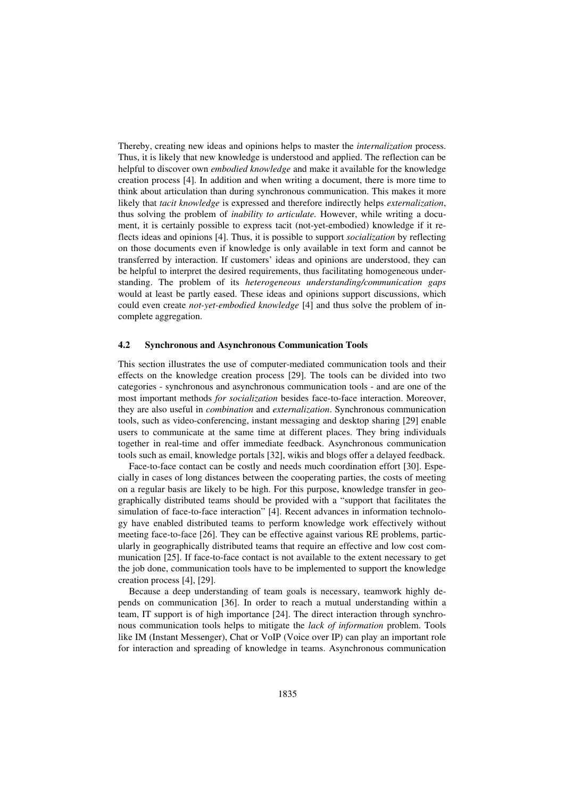Thereby, creating new ideas and opinions helps to master the *internalization* process. Thus, it is likely that new knowledge is understood and applied. The reflection can be helpful to discover own *embodied knowledge* and make it available for the knowledge creation process [4]. In addition and when writing a document, there is more time to think about articulation than during synchronous communication. This makes it more likely that *tacit knowledge* is expressed and therefore indirectly helps *externalization*, thus solving the problem of *inability to articulate.* However, while writing a document, it is certainly possible to express tacit (not-yet-embodied) knowledge if it reflects ideas and opinions [4]. Thus, it is possible to support *socialization* by reflecting on those documents even if knowledge is only available in text form and cannot be transferred by interaction. If customers' ideas and opinions are understood, they can be helpful to interpret the desired requirements, thus facilitating homogeneous understanding. The problem of its *heterogeneous understanding/communication gaps* would at least be partly eased. These ideas and opinions support discussions, which could even create *not-yet-embodied knowledge* [4] and thus solve the problem of incomplete aggregation.

#### **4.2 Synchronous and Asynchronous Communication Tools**

This section illustrates the use of computer-mediated communication tools and their effects on the knowledge creation process [29]. The tools can be divided into two categories - synchronous and asynchronous communication tools - and are one of the most important methods *for socialization* besides face-to-face interaction. Moreover, they are also useful in *combination* and *externalization*. Synchronous communication tools, such as video-conferencing, instant messaging and desktop sharing [29] enable users to communicate at the same time at different places. They bring individuals together in real-time and offer immediate feedback. Asynchronous communication tools such as email, knowledge portals [32], wikis and blogs offer a delayed feedback.

Face-to-face contact can be costly and needs much coordination effort [30]. Especially in cases of long distances between the cooperating parties, the costs of meeting on a regular basis are likely to be high. For this purpose, knowledge transfer in geographically distributed teams should be provided with a "support that facilitates the simulation of face-to-face interaction" [4]. Recent advances in information technology have enabled distributed teams to perform knowledge work effectively without meeting face-to-face [26]. They can be effective against various RE problems, particularly in geographically distributed teams that require an effective and low cost communication [25]. If face-to-face contact is not available to the extent necessary to get the job done, communication tools have to be implemented to support the knowledge creation process [4], [29].

Because a deep understanding of team goals is necessary, teamwork highly depends on communication [36]. In order to reach a mutual understanding within a team, IT support is of high importance [24]. The direct interaction through synchronous communication tools helps to mitigate the *lack of information* problem. Tools like IM (Instant Messenger), Chat or VoIP (Voice over IP) can play an important role for interaction and spreading of knowledge in teams. Asynchronous communication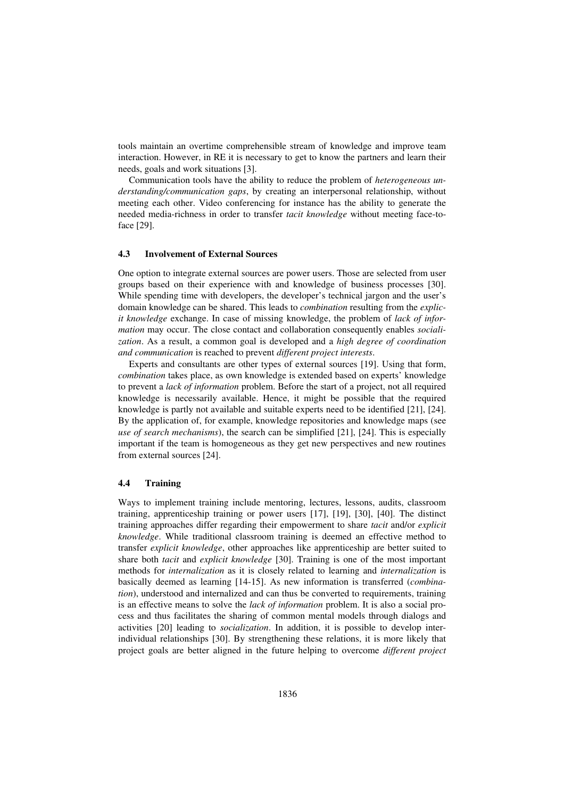tools maintain an overtime comprehensible stream of knowledge and improve team interaction. However, in RE it is necessary to get to know the partners and learn their needs, goals and work situations [3].

Communication tools have the ability to reduce the problem of *heterogeneous understanding/communication gaps*, by creating an interpersonal relationship, without meeting each other. Video conferencing for instance has the ability to generate the needed media-richness in order to transfer *tacit knowledge* without meeting face-toface [29].

#### **4.3 Involvement of External Sources**

One option to integrate external sources are power users. Those are selected from user groups based on their experience with and knowledge of business processes [30]. While spending time with developers, the developer's technical jargon and the user's domain knowledge can be shared. This leads to *combination* resulting from the *explicit knowledge* exchange. In case of missing knowledge, the problem of *lack of information* may occur. The close contact and collaboration consequently enables *socialization*. As a result, a common goal is developed and a *high degree of coordination and communication* is reached to prevent *different project interests*.

Experts and consultants are other types of external sources [19]. Using that form, *combination* takes place, as own knowledge is extended based on experts' knowledge to prevent a *lack of information* problem. Before the start of a project, not all required knowledge is necessarily available. Hence, it might be possible that the required knowledge is partly not available and suitable experts need to be identified [21], [24]. By the application of, for example, knowledge repositories and knowledge maps (see *use of search mechanisms*), the search can be simplified [21], [24]. This is especially important if the team is homogeneous as they get new perspectives and new routines from external sources [24].

#### **4.4 Training**

Ways to implement training include mentoring, lectures, lessons, audits, classroom training, apprenticeship training or power users [17], [19], [30], [40]. The distinct training approaches differ regarding their empowerment to share *tacit* and/or *explicit knowledge*. While traditional classroom training is deemed an effective method to transfer *explicit knowledge*, other approaches like apprenticeship are better suited to share both *tacit* and *explicit knowledge* [30]. Training is one of the most important methods for *internalization* as it is closely related to learning and *internalization* is basically deemed as learning [14-15]. As new information is transferred (*combination*), understood and internalized and can thus be converted to requirements, training is an effective means to solve the *lack of information* problem. It is also a social process and thus facilitates the sharing of common mental models through dialogs and activities [20] leading to *socialization*. In addition, it is possible to develop interindividual relationships [30]. By strengthening these relations, it is more likely that project goals are better aligned in the future helping to overcome *different project*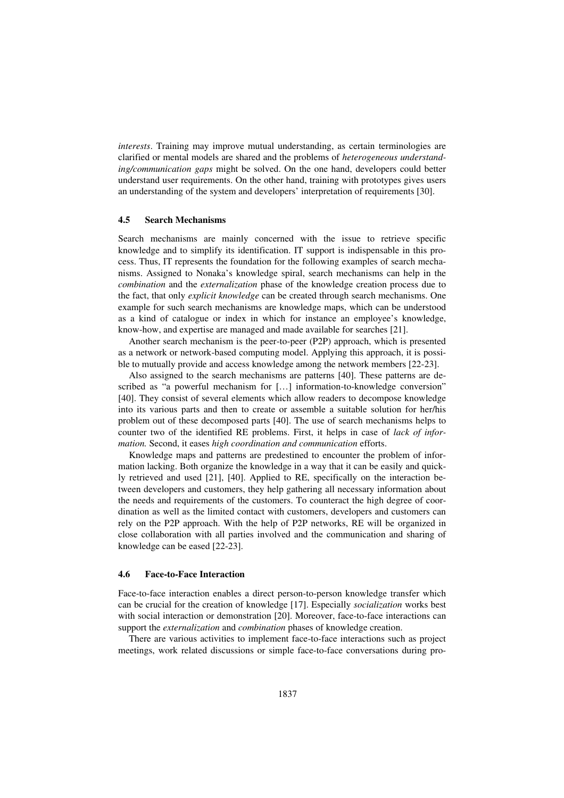*interests*. Training may improve mutual understanding, as certain terminologies are clarified or mental models are shared and the problems of *heterogeneous understanding/communication gaps* might be solved. On the one hand, developers could better understand user requirements. On the other hand, training with prototypes gives users an understanding of the system and developers' interpretation of requirements [30].

#### **4.5 Search Mechanisms**

Search mechanisms are mainly concerned with the issue to retrieve specific knowledge and to simplify its identification. IT support is indispensable in this process. Thus, IT represents the foundation for the following examples of search mechanisms. Assigned to Nonaka's knowledge spiral, search mechanisms can help in the *combination* and the *externalization* phase of the knowledge creation process due to the fact, that only *explicit knowledge* can be created through search mechanisms. One example for such search mechanisms are knowledge maps, which can be understood as a kind of catalogue or index in which for instance an employee's knowledge, know-how, and expertise are managed and made available for searches [21].

Another search mechanism is the peer-to-peer (P2P) approach, which is presented as a network or network-based computing model. Applying this approach, it is possible to mutually provide and access knowledge among the network members [22-23].

Also assigned to the search mechanisms are patterns [40]. These patterns are described as "a powerful mechanism for […] information-to-knowledge conversion" [40]. They consist of several elements which allow readers to decompose knowledge into its various parts and then to create or assemble a suitable solution for her/his problem out of these decomposed parts [40]. The use of search mechanisms helps to counter two of the identified RE problems. First, it helps in case of *lack of information.* Second, it eases *high coordination and communication* efforts.

Knowledge maps and patterns are predestined to encounter the problem of information lacking. Both organize the knowledge in a way that it can be easily and quickly retrieved and used [21], [40]. Applied to RE, specifically on the interaction between developers and customers, they help gathering all necessary information about the needs and requirements of the customers. To counteract the high degree of coordination as well as the limited contact with customers, developers and customers can rely on the P2P approach. With the help of P2P networks, RE will be organized in close collaboration with all parties involved and the communication and sharing of knowledge can be eased [22-23].

#### **4.6 Face-to-Face Interaction**

Face-to-face interaction enables a direct person-to-person knowledge transfer which can be crucial for the creation of knowledge [17]. Especially *socialization* works best with social interaction or demonstration [20]. Moreover, face-to-face interactions can support the *externalization* and *combination* phases of knowledge creation.

There are various activities to implement face-to-face interactions such as project meetings, work related discussions or simple face-to-face conversations during pro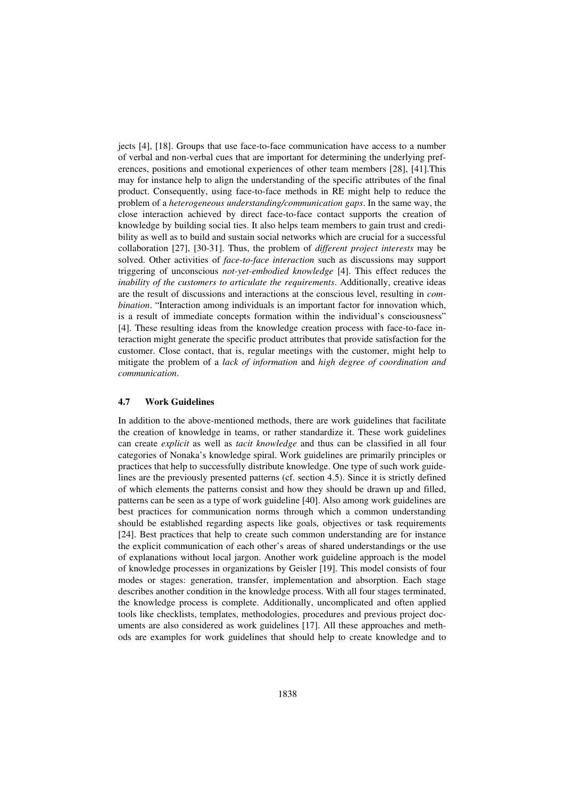jects [4], [18]. Groups that use face-to-face communication have access to a number of verbal and non-verbal cues that are important for determining the underlying preferences, positions and emotional experiences of other team members [28], [41].This may for instance help to align the understanding of the specific attributes of the final product. Consequently, using face-to-face methods in RE might help to reduce the problem of a *heterogeneous understanding/communication gaps*. In the same way, the close interaction achieved by direct face-to-face contact supports the creation of knowledge by building social ties. It also helps team members to gain trust and credibility as well as to build and sustain social networks which are crucial for a successful collaboration [27], [30-31]. Thus, the problem of *different project interests* may be solved. Other activities of *face-to-face interaction* such as discussions may support triggering of unconscious *not-yet-embodied knowledge* [4]. This effect reduces the *inability of the customers to articulate the requirements*. Additionally, creative ideas are the result of discussions and interactions at the conscious level, resulting in *combination*. "Interaction among individuals is an important factor for innovation which, is a result of immediate concepts formation within the individual's consciousness" [4]. These resulting ideas from the knowledge creation process with face-to-face interaction might generate the specific product attributes that provide satisfaction for the customer. Close contact, that is, regular meetings with the customer, might help to mitigate the problem of a *lack of information* and *high degree of coordination and communication*.

#### **4.7 Work Guidelines**

In addition to the above-mentioned methods, there are work guidelines that facilitate the creation of knowledge in teams, or rather standardize it. These work guidelines can create *explicit* as well as *tacit knowledge* and thus can be classified in all four categories of Nonaka's knowledge spiral. Work guidelines are primarily principles or practices that help to successfully distribute knowledge. One type of such work guidelines are the previously presented patterns (cf. section 4.5). Since it is strictly defined of which elements the patterns consist and how they should be drawn up and filled, patterns can be seen as a type of work guideline [40]. Also among work guidelines are best practices for communication norms through which a common understanding should be established regarding aspects like goals, objectives or task requirements [24]. Best practices that help to create such common understanding are for instance the explicit communication of each other's areas of shared understandings or the use of explanations without local jargon. Another work guideline approach is the model of knowledge processes in organizations by Geisler [19]. This model consists of four modes or stages: generation, transfer, implementation and absorption. Each stage describes another condition in the knowledge process. With all four stages terminated, the knowledge process is complete. Additionally, uncomplicated and often applied tools like checklists, templates, methodologies, procedures and previous project documents are also considered as work guidelines [17]. All these approaches and methods are examples for work guidelines that should help to create knowledge and to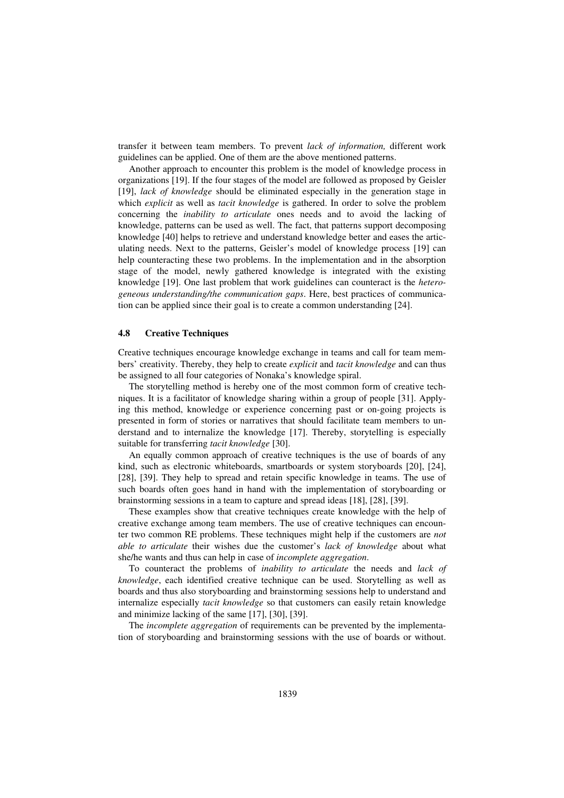transfer it between team members. To prevent *lack of information,* different work guidelines can be applied. One of them are the above mentioned patterns.

Another approach to encounter this problem is the model of knowledge process in organizations [19]. If the four stages of the model are followed as proposed by Geisler [19], *lack of knowledge* should be eliminated especially in the generation stage in which *explicit* as well as *tacit knowledge* is gathered. In order to solve the problem concerning the *inability to articulate* ones needs and to avoid the lacking of knowledge, patterns can be used as well. The fact, that patterns support decomposing knowledge [40] helps to retrieve and understand knowledge better and eases the articulating needs. Next to the patterns, Geisler's model of knowledge process [19] can help counteracting these two problems. In the implementation and in the absorption stage of the model, newly gathered knowledge is integrated with the existing knowledge [19]. One last problem that work guidelines can counteract is the *heterogeneous understanding/the communication gaps*. Here, best practices of communication can be applied since their goal is to create a common understanding [24].

#### **4.8 Creative Techniques**

Creative techniques encourage knowledge exchange in teams and call for team members' creativity. Thereby, they help to create *explicit* and *tacit knowledge* and can thus be assigned to all four categories of Nonaka's knowledge spiral.

The storytelling method is hereby one of the most common form of creative techniques. It is a facilitator of knowledge sharing within a group of people [31]. Applying this method, knowledge or experience concerning past or on-going projects is presented in form of stories or narratives that should facilitate team members to understand and to internalize the knowledge [17]. Thereby, storytelling is especially suitable for transferring *tacit knowledge* [30].

An equally common approach of creative techniques is the use of boards of any kind, such as electronic whiteboards, smartboards or system storyboards [20], [24], [28], [39]. They help to spread and retain specific knowledge in teams. The use of such boards often goes hand in hand with the implementation of storyboarding or brainstorming sessions in a team to capture and spread ideas [18], [28], [39].

These examples show that creative techniques create knowledge with the help of creative exchange among team members. The use of creative techniques can encounter two common RE problems. These techniques might help if the customers are *not able to articulate* their wishes due the customer's *lack of knowledge* about what she/he wants and thus can help in case of *incomplete aggregation*.

To counteract the problems of *inability to articulate* the needs and *lack of knowledge*, each identified creative technique can be used. Storytelling as well as boards and thus also storyboarding and brainstorming sessions help to understand and internalize especially *tacit knowledge* so that customers can easily retain knowledge and minimize lacking of the same [17], [30], [39].

The *incomplete aggregation* of requirements can be prevented by the implementation of storyboarding and brainstorming sessions with the use of boards or without.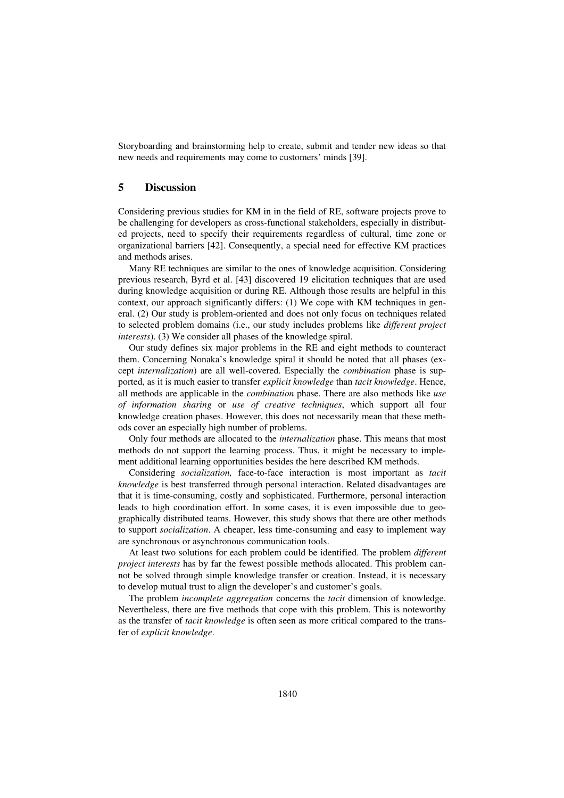Storyboarding and brainstorming help to create, submit and tender new ideas so that new needs and requirements may come to customers' minds [39].

## **5 Discussion**

Considering previous studies for KM in in the field of RE, software projects prove to be challenging for developers as cross-functional stakeholders, especially in distributed projects, need to specify their requirements regardless of cultural, time zone or organizational barriers [42]. Consequently, a special need for effective KM practices and methods arises.

Many RE techniques are similar to the ones of knowledge acquisition. Considering previous research, Byrd et al. [43] discovered 19 elicitation techniques that are used during knowledge acquisition or during RE. Although those results are helpful in this context, our approach significantly differs: (1) We cope with KM techniques in general. (2) Our study is problem-oriented and does not only focus on techniques related to selected problem domains (i.e., our study includes problems like *different project interests*). (3) We consider all phases of the knowledge spiral.

Our study defines six major problems in the RE and eight methods to counteract them. Concerning Nonaka's knowledge spiral it should be noted that all phases (except *internalization*) are all well-covered. Especially the *combination* phase is supported, as it is much easier to transfer *explicit knowledge* than *tacit knowledge*. Hence, all methods are applicable in the *combination* phase. There are also methods like *use of information sharing* or *use of creative techniques*, which support all four knowledge creation phases. However, this does not necessarily mean that these methods cover an especially high number of problems.

Only four methods are allocated to the *internalization* phase. This means that most methods do not support the learning process. Thus, it might be necessary to implement additional learning opportunities besides the here described KM methods.

Considering *socialization,* face-to-face interaction is most important as *tacit knowledge* is best transferred through personal interaction. Related disadvantages are that it is time-consuming, costly and sophisticated. Furthermore, personal interaction leads to high coordination effort. In some cases, it is even impossible due to geographically distributed teams. However, this study shows that there are other methods to support *socialization*. A cheaper, less time-consuming and easy to implement way are synchronous or asynchronous communication tools.

At least two solutions for each problem could be identified. The problem *different project interests* has by far the fewest possible methods allocated. This problem cannot be solved through simple knowledge transfer or creation. Instead, it is necessary to develop mutual trust to align the developer's and customer's goals.

The problem *incomplete aggregation* concerns the *tacit* dimension of knowledge. Nevertheless, there are five methods that cope with this problem. This is noteworthy as the transfer of *tacit knowledge* is often seen as more critical compared to the transfer of *explicit knowledge*.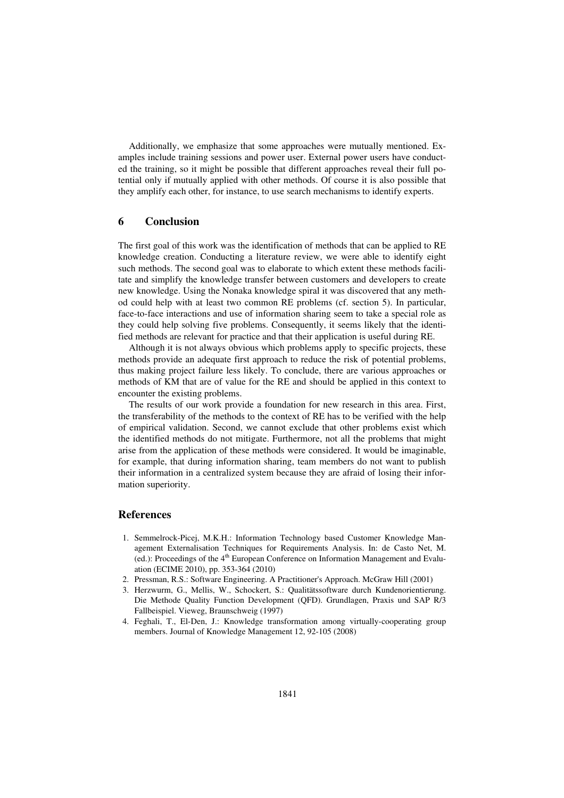Additionally, we emphasize that some approaches were mutually mentioned. Examples include training sessions and power user. External power users have conducted the training, so it might be possible that different approaches reveal their full potential only if mutually applied with other methods. Of course it is also possible that they amplify each other, for instance, to use search mechanisms to identify experts.

## **6 Conclusion**

The first goal of this work was the identification of methods that can be applied to RE knowledge creation. Conducting a literature review, we were able to identify eight such methods. The second goal was to elaborate to which extent these methods facilitate and simplify the knowledge transfer between customers and developers to create new knowledge. Using the Nonaka knowledge spiral it was discovered that any method could help with at least two common RE problems (cf. section 5). In particular, face-to-face interactions and use of information sharing seem to take a special role as they could help solving five problems. Consequently, it seems likely that the identified methods are relevant for practice and that their application is useful during RE.

Although it is not always obvious which problems apply to specific projects, these methods provide an adequate first approach to reduce the risk of potential problems, thus making project failure less likely. To conclude, there are various approaches or methods of KM that are of value for the RE and should be applied in this context to encounter the existing problems.

The results of our work provide a foundation for new research in this area. First, the transferability of the methods to the context of RE has to be verified with the help of empirical validation. Second, we cannot exclude that other problems exist which the identified methods do not mitigate. Furthermore, not all the problems that might arise from the application of these methods were considered. It would be imaginable, for example, that during information sharing, team members do not want to publish their information in a centralized system because they are afraid of losing their information superiority.

## **References**

- 1. Semmelrock-Picej, M.K.H.: Information Technology based Customer Knowledge Management Externalisation Techniques for Requirements Analysis. In: de Casto Net, M. (ed.): Proceedings of the 4th European Conference on Information Management and Evaluation (ECIME 2010), pp. 353-364 (2010)
- 2. Pressman, R.S.: Software Engineering. A Practitioner's Approach. McGraw Hill (2001)
- 3. Herzwurm, G., Mellis, W., Schockert, S.: Qualitätssoftware durch Kundenorientierung. Die Methode Quality Function Development (QFD). Grundlagen, Praxis und SAP R/3 Fallbeispiel. Vieweg, Braunschweig (1997)
- 4. Feghali, T., El-Den, J.: Knowledge transformation among virtually-cooperating group members. Journal of Knowledge Management 12, 92-105 (2008)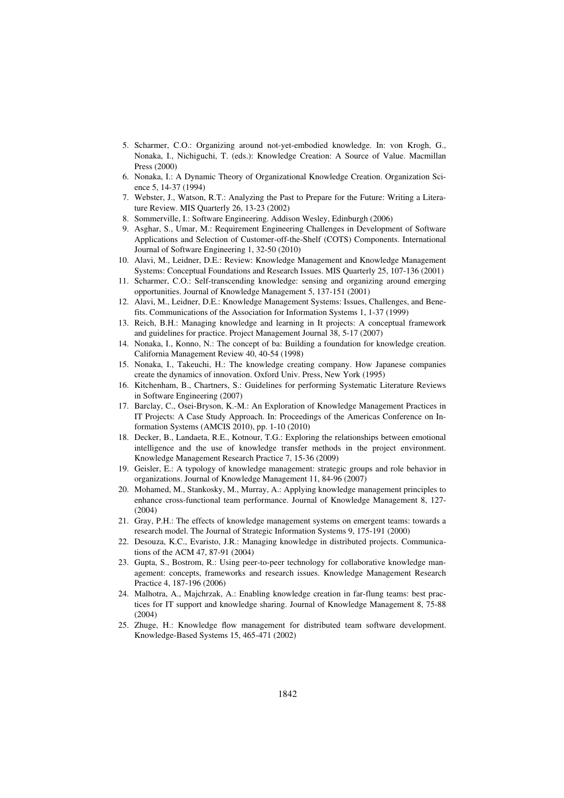- 5. Scharmer, C.O.: Organizing around not-yet-embodied knowledge. In: von Krogh, G., Nonaka, I., Nichiguchi, T. (eds.): Knowledge Creation: A Source of Value. Macmillan Press (2000)
- 6. Nonaka, I.: A Dynamic Theory of Organizational Knowledge Creation. Organization Science 5, 14-37 (1994)
- 7. Webster, J., Watson, R.T.: Analyzing the Past to Prepare for the Future: Writing a Literature Review. MIS Quarterly 26, 13-23 (2002)
- 8. Sommerville, I.: Software Engineering. Addison Wesley, Edinburgh (2006)
- 9. Asghar, S., Umar, M.: Requirement Engineering Challenges in Development of Software Applications and Selection of Customer-off-the-Shelf (COTS) Components. International Journal of Software Engineering 1, 32-50 (2010)
- 10. Alavi, M., Leidner, D.E.: Review: Knowledge Management and Knowledge Management Systems: Conceptual Foundations and Research Issues. MIS Quarterly 25, 107-136 (2001)
- 11. Scharmer, C.O.: Self-transcending knowledge: sensing and organizing around emerging opportunities. Journal of Knowledge Management 5, 137-151 (2001)
- 12. Alavi, M., Leidner, D.E.: Knowledge Management Systems: Issues, Challenges, and Benefits. Communications of the Association for Information Systems 1, 1-37 (1999)
- 13. Reich, B.H.: Managing knowledge and learning in It projects: A conceptual framework and guidelines for practice. Project Management Journal 38, 5-17 (2007)
- 14. Nonaka, I., Konno, N.: The concept of ba: Building a foundation for knowledge creation. California Management Review 40, 40-54 (1998)
- 15. Nonaka, I., Takeuchi, H.: The knowledge creating company. How Japanese companies create the dynamics of innovation. Oxford Univ. Press, New York (1995)
- 16. Kitchenham, B., Chartners, S.: Guidelines for performing Systematic Literature Reviews in Software Engineering (2007)
- 17. Barclay, C., Osei-Bryson, K.-M.: An Exploration of Knowledge Management Practices in IT Projects: A Case Study Approach. In: Proceedings of the Americas Conference on Information Systems (AMCIS 2010), pp. 1-10 (2010)
- 18. Decker, B., Landaeta, R.E., Kotnour, T.G.: Exploring the relationships between emotional intelligence and the use of knowledge transfer methods in the project environment. Knowledge Management Research Practice 7, 15-36 (2009)
- 19. Geisler, E.: A typology of knowledge management: strategic groups and role behavior in organizations. Journal of Knowledge Management 11, 84-96 (2007)
- 20. Mohamed, M., Stankosky, M., Murray, A.: Applying knowledge management principles to enhance cross-functional team performance. Journal of Knowledge Management 8, 127- (2004)
- 21. Gray, P.H.: The effects of knowledge management systems on emergent teams: towards a research model. The Journal of Strategic Information Systems 9, 175-191 (2000)
- 22. Desouza, K.C., Evaristo, J.R.: Managing knowledge in distributed projects. Communications of the ACM 47, 87-91 (2004)
- 23. Gupta, S., Bostrom, R.: Using peer-to-peer technology for collaborative knowledge management: concepts, frameworks and research issues. Knowledge Management Research Practice 4, 187-196 (2006)
- 24. Malhotra, A., Majchrzak, A.: Enabling knowledge creation in far-flung teams: best practices for IT support and knowledge sharing. Journal of Knowledge Management 8, 75-88 (2004)
- 25. Zhuge, H.: Knowledge flow management for distributed team software development. Knowledge-Based Systems 15, 465-471 (2002)